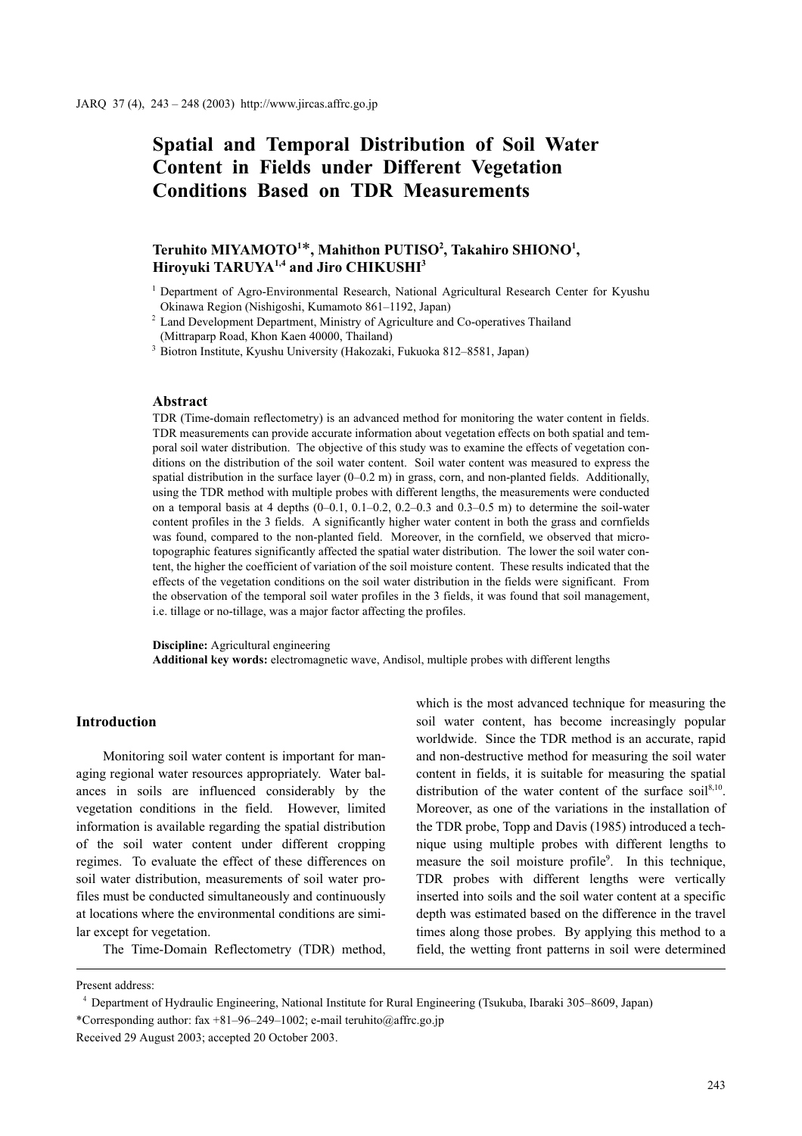# Spatial and Temporal Distribution of Soil Water Content in Fields under Different Vegetation Conditions Based on TDR Measurements

# Teruhito MIYAMOTO<sup>1\*</sup>, Mahithon PUTISO<sup>2</sup>, Takahiro SHIONO<sup>1</sup>, Hiroyuki TARUYA<sup>1,4</sup> and Jiro CHIKUSHI<sup>3</sup>

<sup>2</sup> Land Development Department, Ministry of Agriculture and Co-operatives Thailand

(Mittraparp Road, Khon Kaen 40000, Thailand)

<sup>3</sup> Biotron Institute, Kyushu University (Hakozaki, Fukuoka 812–8581, Japan)

#### Abstract

TDR (Time-domain reflectometry) is an advanced method for monitoring the water content in fields. TDR measurements can provide accurate information about vegetation effects on both spatial and temporal soil water distribution. The objective of this study was to examine the effects of vegetation conditions on the distribution of the soil water content. Soil water content was measured to express the spatial distribution in the surface layer  $(0-0.2 \text{ m})$  in grass, corn, and non-planted fields. Additionally, using the TDR method with multiple probes with different lengths, the measurements were conducted on a temporal basis at 4 depths  $(0-0.1, 0.1-0.2, 0.2-0.3, 0.3-0.5, m)$  to determine the soil-water content profiles in the 3 fields. A significantly higher water content in both the grass and cornfields was found, compared to the non-planted field. Moreover, in the cornfield, we observed that microtopographic features significantly affected the spatial water distribution. The lower the soil water content, the higher the coefficient of variation of the soil moisture content. These results indicated that the effects of the vegetation conditions on the soil water distribution in the fields were significant. From the observation of the temporal soil water profiles in the 3 fields, it was found that soil management, i.e. tillage or no-tillage, was a major factor affecting the profiles.

Discipline: Agricultural engineering

Additional key words: electromagnetic wave, Andisol, multiple probes with different lengths

## Introduction

Monitoring soil water content is important for managing regional water resources appropriately. Water balances in soils are influenced considerably by the vegetation conditions in the field. However, limited information is available regarding the spatial distribution of the soil water content under different cropping regimes. To evaluate the effect of these differences on soil water distribution, measurements of soil water profiles must be conducted simultaneously and continuously at locations where the environmental conditions are similar except for vegetation.

The Time-Domain Reflectometry (TDR) method,

which is the most advanced technique for measuring the soil water content, has become increasingly popular worldwide. Since the TDR method is an accurate, rapid and non-destructive method for measuring the soil water content in fields, it is suitable for measuring the spatial distribution of the water content of the surface soil $8,10$ . Moreover, as one of the variations in the installation of the TDR probe, Topp and Davis (1985) introduced a technique using multiple probes with different lengths to measure the soil moisture profile<sup>9</sup>. In this technique, TDR probes with different lengths were vertically inserted into soils and the soil water content at a specific depth was estimated based on the difference in the travel times along those probes. By applying this method to a field, the wetting front patterns in soil were determined

<sup>&</sup>lt;sup>1</sup> Department of Agro-Environmental Research, National Agricultural Research Center for Kyushu Okinawa Region (Nishigoshi, Kumamoto 861–1192, Japan)

Present address:

Department of Hydraulic Engineering, National Institute for Rural Engineering (Tsukuba, Ibaraki 305–8609, Japan) \*Corresponding author: fax +81–96–249–1002; e-mail teruhito@affrc.go.jp

Received 29 August 2003; accepted 20 October 2003.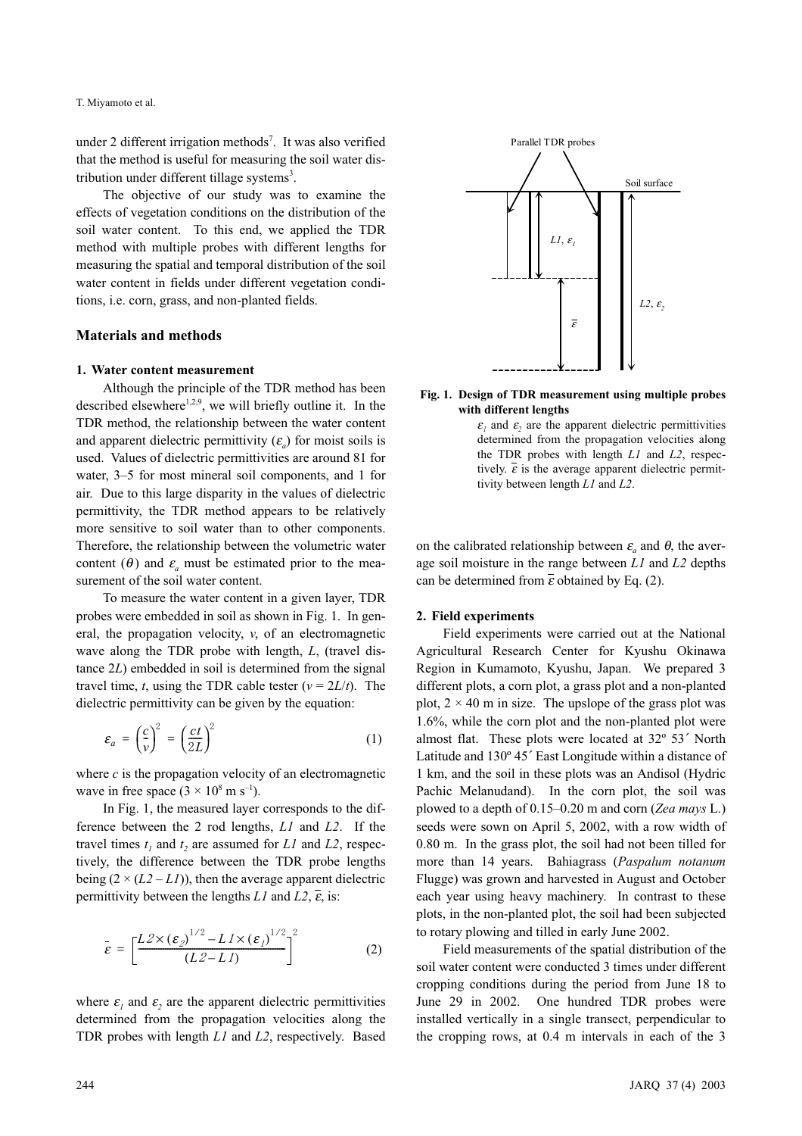under 2 different irrigation methods<sup>7</sup>. It was also verified Parallel TDR probes that the method is useful for measuring the soil water distribution under different tillage systems<sup>3</sup>.

The objective of our study was to examine the effects of vegetation conditions on the distribution of the soil water content. To this end, we applied the TDR method with multiple probes with different lengths for measuring the spatial and temporal distribution of the soil water content in fields under different vegetation conditions, i.e. corn, grass, and non-planted fields.

#### Materials and methods

#### 1. Water content measurement

Although the principle of the TDR method has been described elsewhere<sup>1,2,9</sup>, we will briefly outline it. In the TDR method, the relationship between the water content and apparent dielectric permittivity  $(\varepsilon_a)$  for moist soils is used. Values of dielectric permittivities are around 81 for water, 3–5 for most mineral soil components, and 1 for air. Due to this large disparity in the values of dielectric permittivity, the TDR method appears to be relatively more sensitive to soil water than to other components. Therefore, the relationship between the volumetric water content ( $\theta$ ) and  $\varepsilon$ <sub>a</sub> must be estimated prior to the measurement of the soil water content.

To measure the water content in a given layer, TDR probes were embedded in soil as shown in Fig. 1. In general, the propagation velocity, v, of an electromagnetic wave along the TDR probe with length, L, (travel distance 2L) embedded in soil is determined from the signal travel time, t, using the TDR cable tester ( $v = 2L/t$ ). The

dielectric permittivity can be given by the equation:  
\n
$$
\varepsilon_a = \left(\frac{c}{v}\right)^2 = \left(\frac{ct}{2L}\right)^2 \tag{1}
$$

where  $c$  is the propagation velocity of an electromagnetic wave in free space  $(3 \times 10^8 \text{ m s}^{-1})$ .

In Fig. 1, the measured layer corresponds to the difference between the 2 rod lengths, L1 and L2. If the travel times  $t_1$  and  $t_2$  are assumed for L1 and L2, respectively, the difference between the TDR probe lengths being  $(2 \times (L2 - L1))$ , then the average apparent dielectric permittivity between the lengths L1 and L2,  $\overline{\epsilon}$ , is:

$$
\bar{\varepsilon} = \left[ \frac{L2 \times (\varepsilon_2)^{1/2} - L1 \times (\varepsilon_1)^{1/2}}{(L2 - L1)} \right] \tag{2}
$$

where  $\varepsilon_1$  and  $\varepsilon_2$  are the apparent dielectric permittivities determined from the propagation velocities along the TDR probes with length L1 and L2, respectively. Based



Fig. 1. Design of TDR measurement using multiple probes with different lengths

 $\varepsilon_i$  and  $\varepsilon_2$  are the apparent dielectric permittivities<br>determined from the approaching velocities along determined from the propagation velocities along the TDR probes with length  $L1$  and  $L2$ , respectively.  $\epsilon$  is the average apparent dielectric permittivity between length L1 and L2.

on the calibrated relationship between  $\varepsilon_a$  and  $\theta$ , the average soil moisture in the range between L1 and L2 depths can be determined from  $\bar{\epsilon}$  obtained by Eq. (2).

#### 2. Field experiments

Field experiments were carried out at the National Agricultural Research Center for Kyushu Okinawa Region in Kumamoto, Kyushu, Japan. We prepared 3 different plots, a corn plot, a grass plot and a non-planted plot,  $2 \times 40$  m in size. The upslope of the grass plot was 1.6%, while the corn plot and the non-planted plot were almost flat. These plots were located at 32º 53´ North Latitude and 130º 45´ East Longitude within a distance of 1 km, and the soil in these plots was an Andisol (Hydric Pachic Melanudand). In the corn plot, the soil was plowed to a depth of 0.15–0.20 m and corn (Zea mays L.) seeds were sown on April 5, 2002, with a row width of 0.80 m. In the grass plot, the soil had not been tilled for more than 14 years. Bahiagrass (Paspalum notanum Flugge) was grown and harvested in August and October each year using heavy machinery. In contrast to these plots, in the non-planted plot, the soil had been subjected to rotary plowing and tilled in early June 2002.

Field measurements of the spatial distribution of the soil water content were conducted 3 times under different cropping conditions during the period from June 18 to June 29 in 2002. One hundred TDR probes were installed vertically in a single transect, perpendicular to the cropping rows, at 0.4 m intervals in each of the 3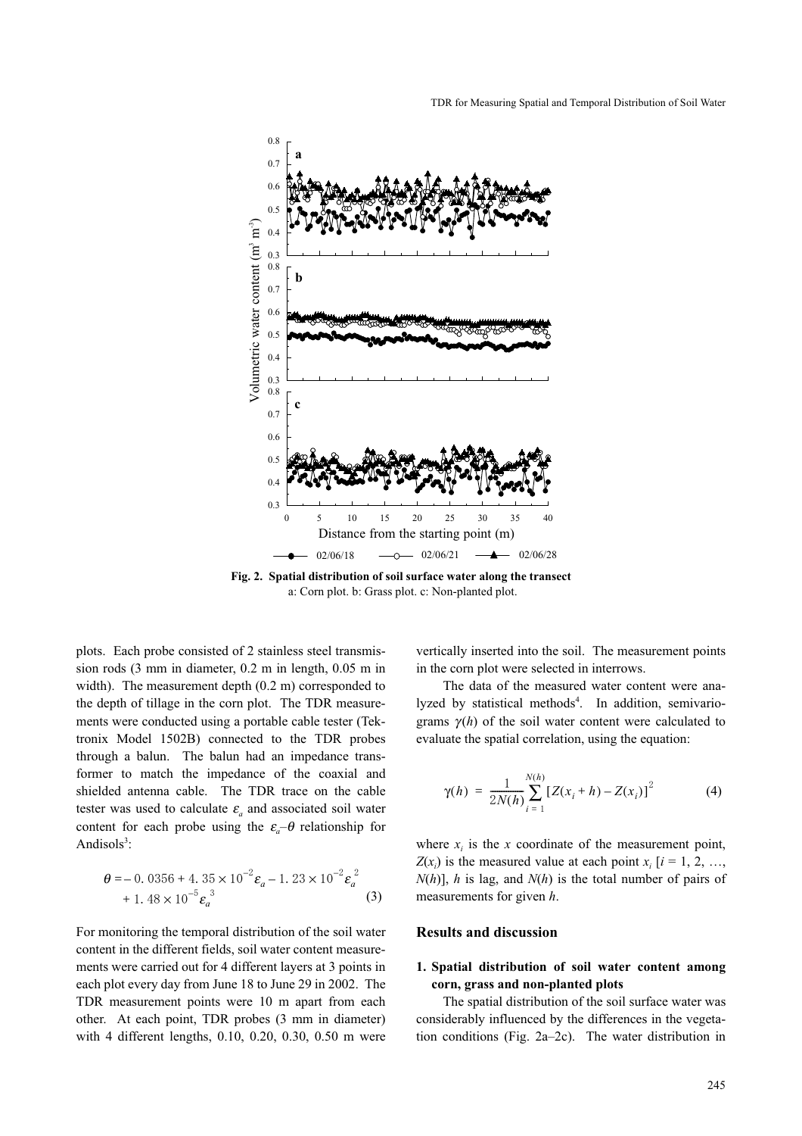

Fig. 2. Spatial distribution of soil surface water along the transect a: Corn plot. b: Grass plot. c: Non-planted plot.

plots. Each probe consisted of 2 stainless steel transmission rods (3 mm in diameter, 0.2 m in length, 0.05 m in width). The measurement depth (0.2 m) corresponded to the depth of tillage in the corn plot. The TDR measurements were conducted using a portable cable tester (Tektronix Model 1502B) connected to the TDR probes through a balun. The balun had an impedance transformer to match the impedance of the coaxial and shielded antenna cable. The TDR trace on the cable tester was used to calculate  $\varepsilon_a$  and associated soil water content for each probe using the  $\varepsilon_a$ – $\theta$  relationship for Andisols $3$ :

$$
\theta = -0.0356 + 4.35 \times 10^{-2} \varepsilon_a - 1.23 \times 10^{-2} \varepsilon_a^2 + 1.48 \times 10^{-5} \varepsilon_a^3
$$
 (3)

For monitoring the temporal distribution of the soil water content in the different fields, soil water content measurements were carried out for 4 different layers at 3 points in each plot every day from June 18 to June 29 in 2002. The TDR measurement points were 10 m apart from each other. At each point, TDR probes (3 mm in diameter) with 4 different lengths, 0.10, 0.20, 0.30, 0.50 m were vertically inserted into the soil. The measurement points in the corn plot were selected in interrows.

The data of the measured water content were analyzed by statistical methods<sup>4</sup>. In addition, semivariograms  $\gamma(h)$  of the soil water content were calculated to evaluate the spatial correlation, using the equation:

$$
\gamma(h) = \frac{1}{2N(h)} \sum_{i=1}^{N(h)} \left[ Z(x_i + h) - Z(x_i) \right]^2 \tag{4}
$$

where  $x_i$  is the x coordinate of the measurement point,  $Z(x_i)$  is the measured value at each point  $x_i$  [ $i = 1, 2, ...,$  $N(h)$ ], h is lag, and  $N(h)$  is the total number of pairs of measurements for given h.

#### Results and discussion

#### 1. Spatial distribution of soil water content among corn, grass and non-planted plots

The spatial distribution of the soil surface water was considerably influenced by the differences in the vegetation conditions (Fig. 2a–2c). The water distribution in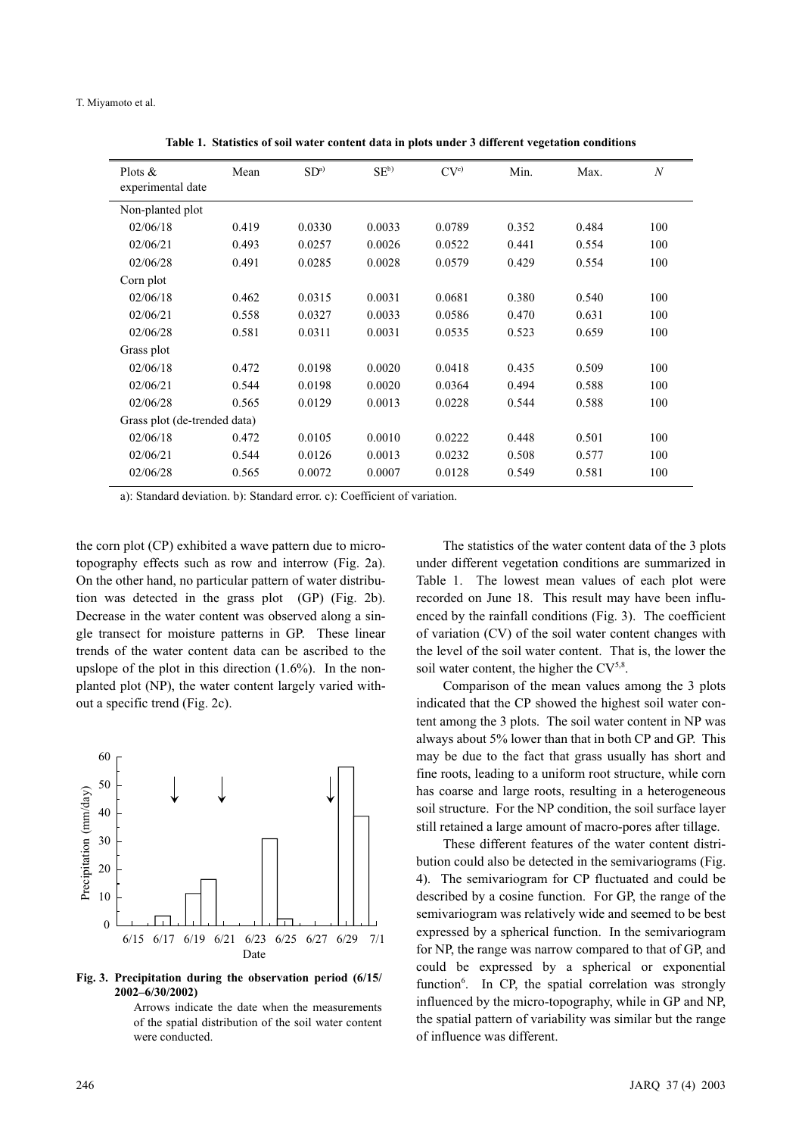| Plots $\&$<br>experimental date | Mean  | SD <sup>a</sup> | $SE^{b}$ | CV <sup>c</sup> | Min.  | Max.  | $\boldsymbol{N}$ |
|---------------------------------|-------|-----------------|----------|-----------------|-------|-------|------------------|
| Non-planted plot                |       |                 |          |                 |       |       |                  |
| 02/06/18                        | 0.419 | 0.0330          | 0.0033   | 0.0789          | 0.352 | 0.484 | 100              |
| 02/06/21                        | 0.493 | 0.0257          | 0.0026   | 0.0522          | 0.441 | 0.554 | 100              |
| 02/06/28                        | 0.491 | 0.0285          | 0.0028   | 0.0579          | 0.429 | 0.554 | 100              |
| Corn plot                       |       |                 |          |                 |       |       |                  |
| 02/06/18                        | 0.462 | 0.0315          | 0.0031   | 0.0681          | 0.380 | 0.540 | 100              |
| 02/06/21                        | 0.558 | 0.0327          | 0.0033   | 0.0586          | 0.470 | 0.631 | 100              |
| 02/06/28                        | 0.581 | 0.0311          | 0.0031   | 0.0535          | 0.523 | 0.659 | 100              |
| Grass plot                      |       |                 |          |                 |       |       |                  |
| 02/06/18                        | 0.472 | 0.0198          | 0.0020   | 0.0418          | 0.435 | 0.509 | 100              |
| 02/06/21                        | 0.544 | 0.0198          | 0.0020   | 0.0364          | 0.494 | 0.588 | 100              |
| 02/06/28                        | 0.565 | 0.0129          | 0.0013   | 0.0228          | 0.544 | 0.588 | 100              |
| Grass plot (de-trended data)    |       |                 |          |                 |       |       |                  |
| 02/06/18                        | 0.472 | 0.0105          | 0.0010   | 0.0222          | 0.448 | 0.501 | 100              |
| 02/06/21                        | 0.544 | 0.0126          | 0.0013   | 0.0232          | 0.508 | 0.577 | 100              |
| 02/06/28                        | 0.565 | 0.0072          | 0.0007   | 0.0128          | 0.549 | 0.581 | 100              |

Table 1. Statistics of soil water content data in plots under 3 different vegetation conditions

a): Standard deviation. b): Standard error. c): Coefficient of variation.

the corn plot (CP) exhibited a wave pattern due to microtopography effects such as row and interrow (Fig. 2a). On the other hand, no particular pattern of water distribution was detected in the grass plot (GP) (Fig. 2b). Decrease in the water content was observed along a single transect for moisture patterns in GP. These linear trends of the water content data can be ascribed to the upslope of the plot in this direction  $(1.6\%)$ . In the nonplanted plot (NP), the water content largely varied without a specific trend (Fig. 2c).



Fig. 3. Precipitation during the observation period (6/15/ 2002–6/30/2002)

Arrows indicate the date when the measurements of the spatial distribution of the soil water content were conducted.

The statistics of the water content data of the 3 plots under different vegetation conditions are summarized in Table 1. The lowest mean values of each plot were recorded on June 18. This result may have been influenced by the rainfall conditions (Fig. 3). The coefficient of variation (CV) of the soil water content changes with the level of the soil water content. That is, the lower the soil water content, the higher the  $CV^{5,8}$ .

Comparison of the mean values among the 3 plots indicated that the CP showed the highest soil water content among the 3 plots. The soil water content in NP was always about 5% lower than that in both CP and GP. This may be due to the fact that grass usually has short and fine roots, leading to a uniform root structure, while corn has coarse and large roots, resulting in a heterogeneous soil structure. For the NP condition, the soil surface layer still retained a large amount of macro-pores after tillage.

These different features of the water content distribution could also be detected in the semivariograms (Fig. 4). The semivariogram for CP fluctuated and could be described by a cosine function. For GP, the range of the semivariogram was relatively wide and seemed to be best expressed by a spherical function. In the semivariogram for NP, the range was narrow compared to that of GP, and could be expressed by a spherical or exponential function<sup>6</sup>. In CP, the spatial correlation was strongly influenced by the micro-topography, while in GP and NP, the spatial pattern of variability was similar but the range of influence was different.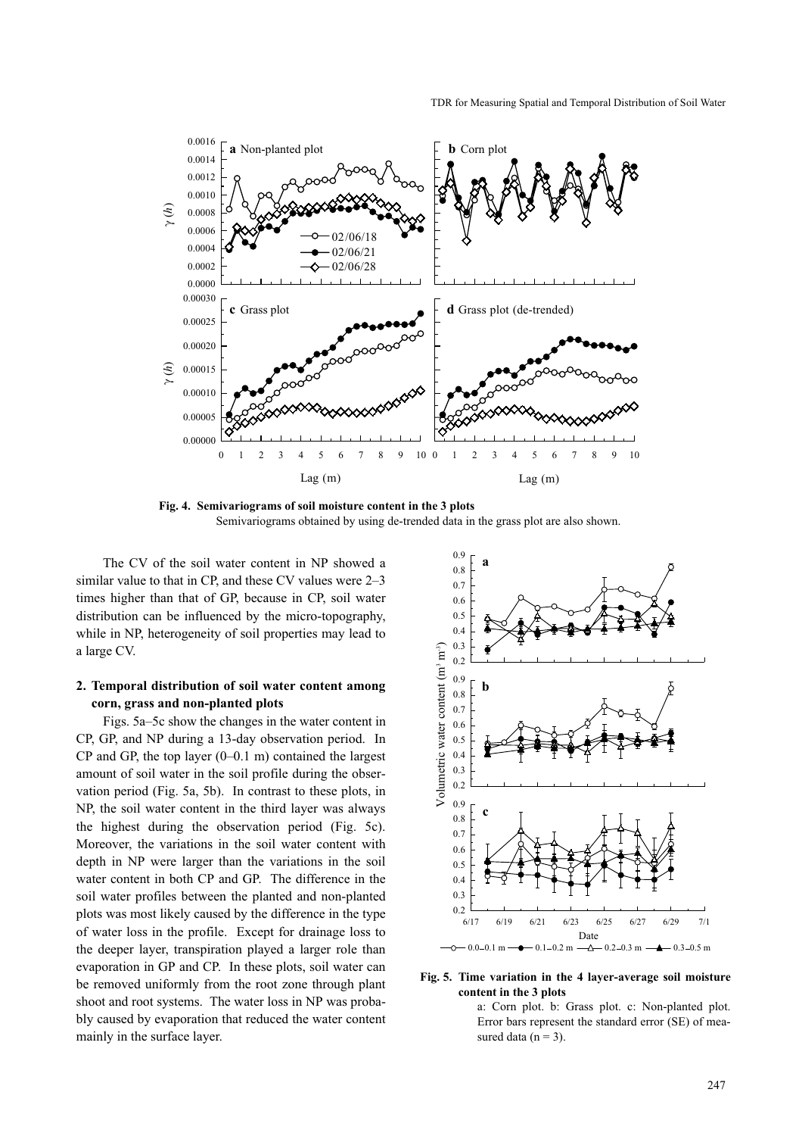

Fig. 4. Semivariograms of soil moisture content in the 3 plots Semivariograms obtained by using de-trended data in the grass plot are also shown.

The CV of the soil water content in NP showed a similar value to that in CP, and these CV values were 2–3 times higher than that of GP, because in CP, soil water distribution can be influenced by the micro-topography, while in NP, heterogeneity of soil properties may lead to a large CV.

### 2. Temporal distribution of soil water content among corn, grass and non-planted plots

Figs. 5a–5c show the changes in the water content in CP, GP, and NP during a 13-day observation period. In  $CP$  and GP, the top layer  $(0-0.1 \text{ m})$  contained the largest amount of soil water in the soil profile during the observation period (Fig. 5a, 5b). In contrast to these plots, in NP, the soil water content in the third layer was always the highest during the observation period (Fig. 5c). Moreover, the variations in the soil water content with depth in NP were larger than the variations in the soil water content in both CP and GP. The difference in the soil water profiles between the planted and non-planted plots was most likely caused by the difference in the type of water loss in the profile. Except for drainage loss to the deeper layer, transpiration played a larger role than evaporation in GP and CP. In these plots, soil water can be removed uniformly from the root zone through plant shoot and root systems. The water loss in NP was probably caused by evaporation that reduced the water content mainly in the surface layer.



Fig. 5. Time variation in the 4 layer-average soil moisture content in the 3 plots

a: Corn plot. b: Grass plot. c: Non-planted plot. Error bars represent the standard error (SE) of measured data ( $n = 3$ ).